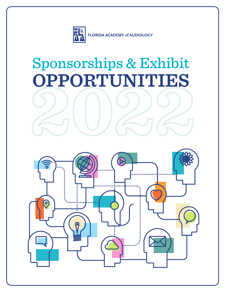

# Sponsorships & Exhibit **OPPORTUNITIES**

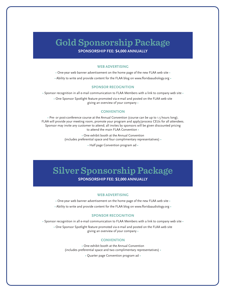### **Gold Sponsorship Package SPONSORSHIP FEE: \$4,000 ANNUALLY**

### **WEB ADVERTISING**

• One-year web banner advertisement on the home page of the new FLAA web site •

• Ability to write and provide content for the FLAA blog on www.floridaaudiology.org •

### **SPONSOR RECOGNITION**

• Sponsor recognition in all e-mail communication to FLAA Members with a link to company web site •

• One Sponsor Spotlight feature promoted via e-mail and posted on the FLAA web site giving an overview of your company •

#### **CONVENTION**

• Pre- or post-conference course at the Annual Convention (course can be up to 1.5 hours long). FLAA will provide your meeting room, promote your program and apply/process CEUs for all attendees. Sponsor may invite any customer to attend; all invites by sponsors will be given discounted pricing to attend the main FLAA Convention •

> • One exhibit booth at the Annual Convention (includes preferential space and four complimentary representatives) •

> > • Half page Convention program ad •

## **Silver Sponsorship Package**

**SPONSORSHIP FEE: \$2,000 ANNUALLY**

### **WEB ADVERTISING**

• One-year web banner advertisement on the home page of the new FLAA web site •

• Ability to write and provide content for the FLAA blog on www.floridaaudiology.org •

#### **SPONSOR RECOGNITION**

• Sponsor recognition in all e-mail communication to FLAA Members with a link to company web site •

• One Sponsor Spotlight feature promoted via e-mail and posted on the FLAA web site giving an overview of your company •

### **CONVENTION**

• One exhibit booth at the Annual Convention (includes preferential space and two complimentary representatives) •

• Quarter page Convention program ad •